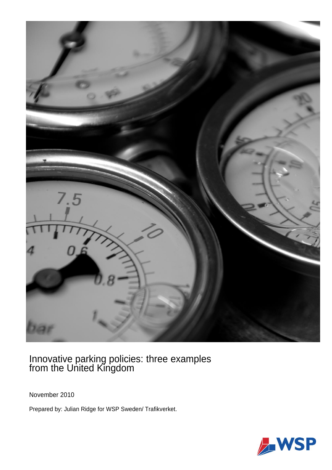

## Innovative parking policies: three examples from the United Kingdom

November 2010

Prepared by: Julian Ridge for WSP Sweden/ Trafikverket.

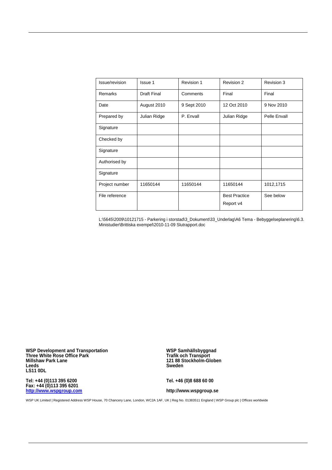| Issue/revision | Issue 1      | Revision 1  | Revision 2                        | Revision 3   |
|----------------|--------------|-------------|-----------------------------------|--------------|
| <b>Remarks</b> | Draft Final  | Comments    | Final                             | Final        |
| Date           | August 2010  | 9 Sept 2010 | 12 Oct 2010                       | 9 Nov 2010   |
| Prepared by    | Julian Ridge | P. Envall   | Julian Ridge                      | Pelle Envall |
| Signature      |              |             |                                   |              |
| Checked by     |              |             |                                   |              |
| Signature      |              |             |                                   |              |
| Authorised by  |              |             |                                   |              |
| Signature      |              |             |                                   |              |
| Project number | 11650144     | 11650144    | 11650144                          | 1012,1715    |
| File reference |              |             | <b>Best Practice</b><br>Report v4 | See below    |

L:\5645\2009\10121715 - Parkering i storstad\3\_Dokument\33\_Underlag\A6 Tema - Bebyggelseplanering\6.3. Ministudier\Brittiska exempel\2010-11-09 Slutrapport.doc

**WSP Development and Transportation Three White Rose Office Park Millshaw Park Lane Leeds Sweden LS11 0DL**

**Tel: +44 (0)113 395 6200 Tel. +46 (0)8 688 60 00 Fax: +44 (0)113 395 6201**

**WSP Samhällsbyggnad<br>Trafik och Transport<br>121 88 Stockholm-Globen<br>Sweden** 

**[http://www.wspgroup.com](http://www.wspgroup.com/) http://www.wspgroup.se**

WSP UK Limited | Registered Address WSP House, 70 Chancery Lane, London, WC2A 1AF, UK | Reg No. 01383511 England | WSP Group plc | Offices worldwide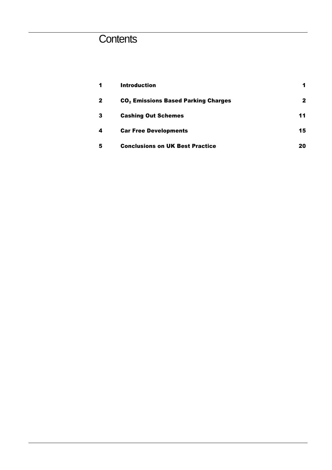## **Contents**

| 1            | <b>Introduction</b>                                   | 1           |
|--------------|-------------------------------------------------------|-------------|
| $\mathbf{2}$ | <b>CO<sub>2</sub></b> Emissions Based Parking Charges | $\mathbf 2$ |
| 3            | <b>Cashing Out Schemes</b>                            | 11          |
| 4            | <b>Car Free Developments</b>                          | 15          |
| 5            | <b>Conclusions on UK Best Practice</b>                | 20          |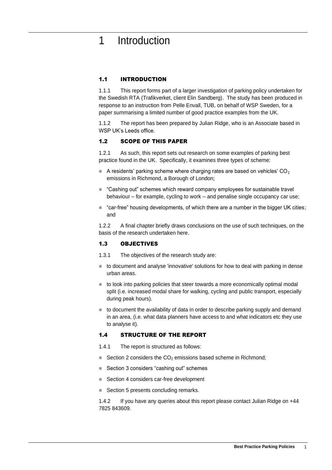## 1 Introduction

## 1.1 INTRODUCTION

1.1.1 This report forms part of a larger investigation of parking policy undertaken for the Swedish RTA (Trafikverket, client Elin Sandberg). The study has been produced in response to an instruction from Pelle Envall, TUB, on behalf of WSP Sweden, for a paper summarising a limited number of good practice examples from the UK.

1.1.2 The report has been prepared by Julian Ridge, who is an Associate based in WSP UK's Leeds office.

#### 1.2 SCOPE OF THIS PAPER

1.2.1 As such, this report sets out research on some examples of parking best practice found in the UK. Specifically, it examines three types of scheme:

- A residents' parking scheme where charging rates are based on vehicles'  $CO<sub>2</sub>$ emissions in Richmond, a Borough of London;
- "Cashing out" schemes which reward company employees for sustainable travel behaviour – for example, cycling to work – and penalise single occupancy car use;
- $\blacksquare$  "car-free" housing developments, of which there are a number in the bigger UK cities; and

1.2.2 A final chapter briefly draws conclusions on the use of such techniques, on the basis of the research undertaken here.

## 1.3 OBJECTIVES

1.3.1 The objectives of the research study are:

- $\blacksquare$  to document and analyse 'innovative' solutions for how to deal with parking in dense urban areas.
- $\blacksquare$  to look into parking policies that steer towards a more economically optimal modal split (i.e. increased modal share for walking, cycling and public transport, especially during peak hours).
- $\blacksquare$  to document the availability of data in order to describe parking supply and demand in an area, (i.e. what data planners have access to and what indicators etc they use to analyse it).

#### 1.4 STRUCTURE OF THE REPORT

- 1.4.1 The report is structured as follows:
- Section 2 considers the  $CO<sub>2</sub>$  emissions based scheme in Richmond;
- Section 3 considers "cashing out" schemes
- Section 4 considers car-free development
- Section 5 presents concluding remarks.

1.4.2 If you have any queries about this report please contact Julian Ridge on +44 7825 843609.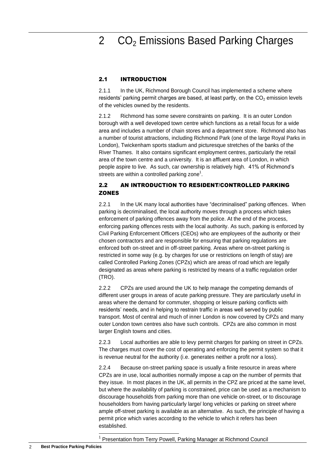# 2 CO<sub>2</sub> Emissions Based Parking Charges

## 2.1 INTRODUCTION

2.1.1 In the UK, Richmond Borough Council has implemented a scheme where residents' parking permit charges are based, at least partly, on the  $CO<sub>2</sub>$  emission levels of the vehicles owned by the residents.

2.1.2 Richmond has some severe constraints on parking. It is an outer London borough with a well developed town centre which functions as a retail focus for a wide area and includes a number of chain stores and a department store. Richmond also has a number of tourist attractions, including Richmond Park (one of the large Royal Parks in London), Twickenham sports stadium and picturesque stretches of the banks of the River Thames. It also contains significant employment centres, particularly the retail area of the town centre and a university. It is an affluent area of London, in which people aspire to live. As such, car ownership is relatively high. 41% of Richmond's streets are within a controlled parking zone $^1$ .

## 2.2 AN INTRODUCTION TO RESIDENT/CONTROLLED PARKING **ZONES**

2.2.1 In the UK many local authorities have "decriminalised" parking offences. When parking is decriminalised, the local authority moves through a process which takes enforcement of parking offences away from the police. At the end of the process, enforcing parking offences rests with the local authority. As such, parking is enforced by Civil Parking Enforcement Officers (CEOs) who are employees of the authority or their chosen contractors and are responsible for ensuring that parking regulations are enforced both on-street and in off-street parking. Areas where on-street parking is restricted in some way (e.g. by charges for use or restrictions on length of stay) are called Controlled Parking Zones (CPZs) which are areas of road which are legally designated as areas where parking is restricted by means of a traffic regulation order (TRO).

2.2.2 CPZs are used around the UK to help manage the competing demands of different user groups in areas of acute parking pressure. They are particularly useful in areas where the demand for commuter, shopping or leisure parking conflicts with residents' needs, and in helping to restrain traffic in areas well served by public transport. Most of central and much of inner London is now covered by CPZs and many outer London town centres also have such controls. CPZs are also common in most larger English towns and cities.

2.2.3 Local authorities are able to levy permit charges for parking on street in CPZs. The charges must cover the cost of operating and enforcing the permit system so that it is revenue neutral for the authority (i.e. generates neither a profit nor a loss).

2.2.4 Because on-street parking space is usually a finite resource in areas where CPZs are in use, local authorities normally impose a cap on the number of permits that they issue. In most places in the UK, all permits in the CPZ are priced at the same level, but where the availability of parking is constrained, price can be used as a mechanism to discourage households from parking more than one vehicle on-street, or to discourage householders from having particularly large/ long vehicles or parking on street where ample off-street parking is available as an alternative. As such, the principle of having a permit price which varies according to the vehicle to which it refers has been established.

 $\overline{a}$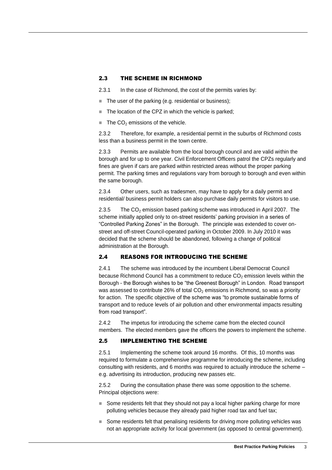## 2.3 THE SCHEME IN RICHMOND

2.3.1 In the case of Richmond, the cost of the permits varies by:

- $\blacksquare$  The user of the parking (e.g. residential or business);
- The location of the CPZ in which the vehicle is parked;
- $\blacksquare$  The CO<sub>2</sub> emissions of the vehicle.

2.3.2 Therefore, for example, a residential permit in the suburbs of Richmond costs less than a business permit in the town centre.

2.3.3 Permits are available from the local borough council and are valid within the borough and for up to one year. Civil Enforcement Officers patrol the CPZs regularly and fines are given if cars are parked within restricted areas without the proper parking permit. The parking times and regulations vary from borough to borough and even within the same borough.

2.3.4 Other users, such as tradesmen, may have to apply for a daily permit and residential/ business permit holders can also purchase daily permits for visitors to use.

2.3.5 The  $CO<sub>2</sub>$  emission based parking scheme was introduced in April 2007. The scheme initially applied only to on-street residents' parking provision in a series of "Controlled Parking Zones" in the Borough. The principle was extended to cover onstreet and off-street Council-operated parking in October 2009. In July 2010 it was decided that the scheme should be abandoned, following a change of political administration at the Borough.

## 2.4 REASONS FOR INTRODUCING THE SCHEME

2.4.1 The scheme was introduced by the incumbent Liberal Democrat Council because Richmond Council has a commitment to reduce  $CO<sub>2</sub>$  emission levels within the Borough - the Borough wishes to be "the Greenest Borough" in London. Road transport was assessed to contribute 26% of total  $CO<sub>2</sub>$  emissions in Richmond, so was a priority for action. The specific objective of the scheme was "to promote sustainable forms of transport and to reduce levels of air pollution and other environmental impacts resulting from road transport".

2.4.2 The impetus for introducing the scheme came from the elected council members. The elected members gave the officers the powers to implement the scheme.

## 2.5 IMPLEMENTING THE SCHEME

2.5.1 Implementing the scheme took around 16 months. Of this, 10 months was required to formulate a comprehensive programme for introducing the scheme, including consulting with residents, and 6 months was required to actually introduce the scheme – e.g. advertising its introduction, producing new passes etc.

2.5.2 During the consultation phase there was some opposition to the scheme. Principal objections were:

- Some residents felt that they should not pay a local higher parking charge for more polluting vehicles because they already paid higher road tax and fuel tax;
- Some residents felt that penalising residents for driving more polluting vehicles was not an appropriate activity for local government (as opposed to central government).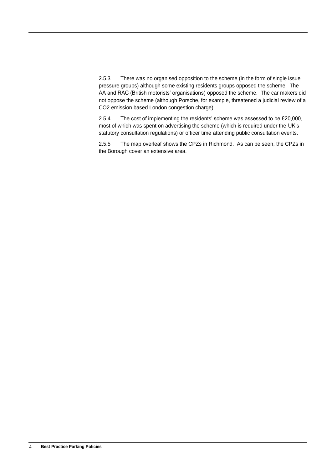2.5.3 There was no organised opposition to the scheme (in the form of single issue pressure groups) although some existing residents groups opposed the scheme. The AA and RAC (British motorists' organisations) opposed the scheme. The car makers did not oppose the scheme (although Porsche, for example, threatened a judicial review of a CO2 emission based London congestion charge).

2.5.4 The cost of implementing the residents' scheme was assessed to be £20,000, most of which was spent on advertising the scheme (which is required under the UK's statutory consultation regulations) or officer time attending public consultation events.

2.5.5 The map overleaf shows the CPZs in Richmond. As can be seen, the CPZs in the Borough cover an extensive area.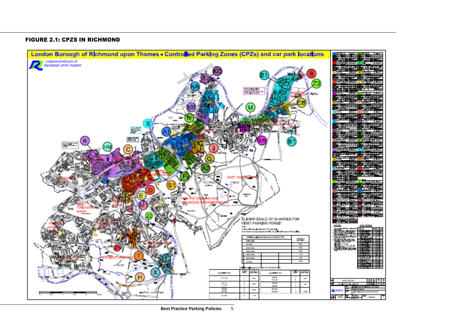#### FIGURE 2.1: CPZS IN RICHMOND



**Best Practice Parking Policies** 5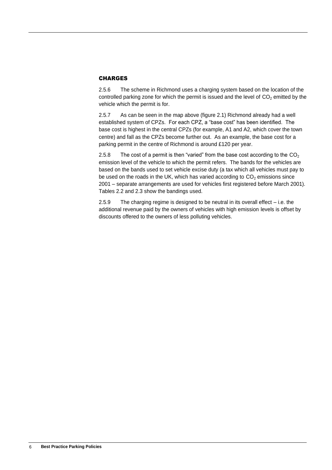## CHARGES

2.5.6 The scheme in Richmond uses a charging system based on the location of the controlled parking zone for which the permit is issued and the level of  $CO<sub>2</sub>$  emitted by the vehicle which the permit is for.

2.5.7 As can be seen in the map above (figure 2.1) Richmond already had a well established system of CPZs. For each CPZ, a "base cost" has been identified. The base cost is highest in the central CPZs (for example, A1 and A2, which cover the town centre) and fall as the CPZs become further out. As an example, the base cost for a parking permit in the centre of Richmond is around £120 per year.

2.5.8 The cost of a permit is then "varied" from the base cost according to the  $CO<sub>2</sub>$ emission level of the vehicle to which the permit refers. The bands for the vehicles are based on the bands used to set vehicle excise duty (a tax which all vehicles must pay to be used on the roads in the UK, which has varied according to  $CO<sub>2</sub>$  emissions since 2001 – separate arrangements are used for vehicles first registered before March 2001). Tables 2.2 and 2.3 show the bandings used.

2.5.9 The charging regime is designed to be neutral in its overall effect – i.e. the additional revenue paid by the owners of vehicles with high emission levels is offset by discounts offered to the owners of less polluting vehicles.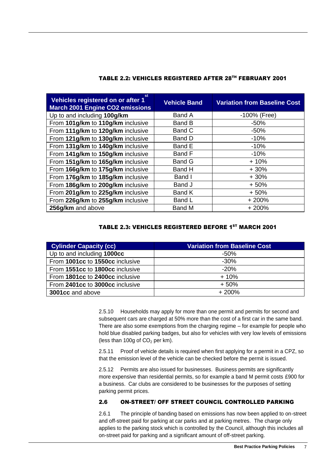| st<br>Vehicles registered on or after 1<br><b>March 2001 Engine CO2 emissions</b> | <b>Vehicle Band</b> | <b>Variation from Baseline Cost</b> |
|-----------------------------------------------------------------------------------|---------------------|-------------------------------------|
| Up to and including 100g/km                                                       | Band A              | -100% (Free)                        |
| From 101g/km to 110g/km inclusive                                                 | Band B              | $-50%$                              |
| From 111g/km to 120g/km inclusive                                                 | Band C              | $-50%$                              |
| From 121g/km to 130g/km inclusive                                                 | Band D              | $-10%$                              |
| From 131g/km to 140g/km inclusive                                                 | Band E              | $-10%$                              |
| From 141g/km to 150g/km inclusive                                                 | Band F              | $-10%$                              |
| From 151g/km to 165g/km inclusive                                                 | <b>Band G</b>       | $+10%$                              |
| From 166g/km to 175g/km inclusive                                                 | Band H              | $+30%$                              |
| From 176g/km to 185g/km inclusive                                                 | Band I              | $+30%$                              |
| From 186g/km to 200g/km inclusive                                                 | Band J              | $+50%$                              |
| From 201g/km to 225g/km inclusive                                                 | Band K              | $+50%$                              |
| From 226g/km to 255g/km inclusive                                                 | Band L              | $+200%$                             |
| 256g/km and above                                                                 | <b>Band M</b>       | $+200%$                             |

## TABLE 2.2: VEHICLES REGISTERED AFTER 28TH FEBRUARY 2001

## TABLE 2.3: VEHICLES REGISTERED BEFORE 1ST MARCH 2001

| <b>Cylinder Capacity (cc)</b>   | <b>Variation from Baseline Cost</b> |
|---------------------------------|-------------------------------------|
| Up to and including 1000cc      | $-50\%$                             |
| From 1001cc to 1550cc inclusive | $-30%$                              |
| From 1551cc to 1800cc inclusive | $-20%$                              |
| From 1801cc to 2400cc inclusive | $+10%$                              |
| From 2401cc to 3000cc inclusive | $+50%$                              |
| <b>3001cc and above</b>         | $+200%$                             |

2.5.10 Households may apply for more than one permit and permits for second and subsequent cars are charged at 50% more than the cost of a first car in the same band. There are also some exemptions from the charging regime – for example for people who hold blue disabled parking badges, but also for vehicles with very low levels of emissions (less than 100g of  $CO<sub>2</sub>$  per km).

2.5.11 Proof of vehicle details is required when first applying for a permit in a CPZ, so that the emission level of the vehicle can be checked before the permit is issued.

2.5.12 Permits are also issued for businesses. Business permits are significantly more expensive than residential permits, so for example a band M permit costs £900 for a business. Car clubs are considered to be businesses for the purposes of setting parking permit prices.

## 2.6 ON-STREET/ OFF STREET COUNCIL CONTROLLED PARKING

2.6.1 The principle of banding based on emissions has now been applied to on-street and off-street paid for parking at car parks and at parking metres. The charge only applies to the parking stock which is controlled by the Council, although this includes all on-street paid for parking and a significant amount of off-street parking.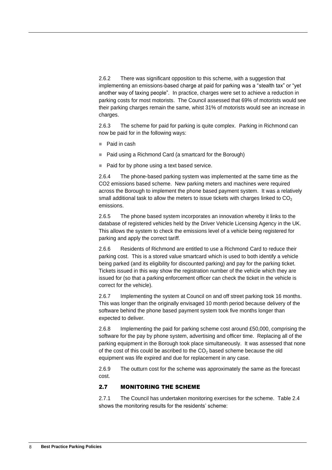2.6.2 There was significant opposition to this scheme, with a suggestion that implementing an emissions-based charge at paid for parking was a "stealth tax" or "yet another way of taxing people". In practice, charges were set to achieve a reduction in parking costs for most motorists. The Council assessed that 69% of motorists would see their parking charges remain the same, whist 31% of motorists would see an increase in charges.

2.6.3 The scheme for paid for parking is quite complex. Parking in Richmond can now be paid for in the following ways:

- Paid in cash
- Paid using a Richmond Card (a smartcard for the Borough)
- Paid for by phone using a text based service.

2.6.4 The phone-based parking system was implemented at the same time as the CO2 emissions based scheme. New parking meters and machines were required across the Borough to implement the phone based payment system. It was a relatively small additional task to allow the meters to issue tickets with charges linked to  $CO<sub>2</sub>$ emissions.

2.6.5 The phone based system incorporates an innovation whereby it links to the database of registered vehicles held by the Driver Vehicle Licensing Agency in the UK. This allows the system to check the emissions level of a vehicle being registered for parking and apply the correct tariff.

2.6.6 Residents of Richmond are entitled to use a Richmond Card to reduce their parking cost. This is a stored value smartcard which is used to both identify a vehicle being parked (and its eligibility for discounted parking) and pay for the parking ticket. Tickets issued in this way show the registration number of the vehicle which they are issued for (so that a parking enforcement officer can check the ticket in the vehicle is correct for the vehicle).

2.6.7 Implementing the system at Council on and off street parking took 16 months. This was longer than the originally envisaged 10 month period because delivery of the software behind the phone based payment system took five months longer than expected to deliver.

2.6.8 Implementing the paid for parking scheme cost around £50,000, comprising the software for the pay by phone system, advertising and officer time. Replacing all of the parking equipment in the Borough took place simultaneously. It was assessed that none of the cost of this could be ascribed to the  $CO<sub>2</sub>$  based scheme because the old equipment was life expired and due for replacement in any case.

2.6.9 The outturn cost for the scheme was approximately the same as the forecast cost.

## 2.7 MONITORING THE SCHEME

2.7.1 The Council has undertaken monitoring exercises for the scheme. Table 2.4 shows the monitoring results for the residents' scheme: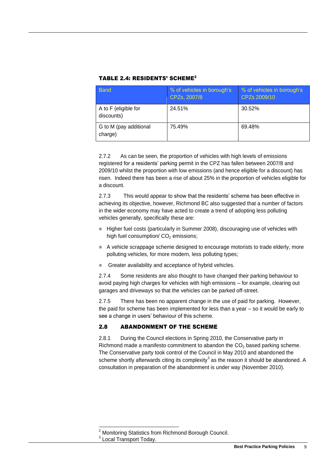## TABLE 2.4: RESIDENTS' SCHEME<sup>2</sup>

| <b>Band</b>                        | % of vehicles in borough's<br>CPZs, 2007/8 | % of vehicles in borough's<br>CPZs 2009/10 |
|------------------------------------|--------------------------------------------|--------------------------------------------|
| A to F (eligible for<br>discounts) | 24.51%                                     | 30.52%                                     |
| G to M (pay additional<br>charge)  | 75.49%                                     | 69.48%                                     |

2.7.2 As can be seen, the proportion of vehicles with high levels of emissions registered for a residents' parking permit in the CPZ has fallen between 2007/8 and 2009/10 whilst the proportion with low emissions (and hence eligible for a discount) has risen. Indeed there has been a rise of about 25% in the proportion of vehicles eligible for a discount.

2.7.3 This would appear to show that the residents' scheme has been effective in achieving its objective, however, Richmond BC also suggested that a number of factors in the wider economy may have acted to create a trend of adopting less polluting vehicles generally, specifically these are:

- Higher fuel costs (particularly in Summer 2008), discouraging use of vehicles with high fuel consumption/ $CO<sub>2</sub>$  emissions;
- A vehicle scrappage scheme designed to encourage motorists to trade elderly, more polluting vehicles, for more modern, less polluting types;
- Greater availability and acceptance of hybrid vehicles.

2.7.4 Some residents are also thought to have changed their parking behaviour to avoid paying high charges for vehicles with high emissions – for example, clearing out garages and driveways so that the vehicles can be parked off-street.

2.7.5 There has been no apparent change in the use of paid for parking. However, the paid for scheme has been implemented for less than a year – so it would be early to see a change in users' behaviour of this scheme.

## 2.8 ABANDONMENT OF THE SCHEME

2.8.1 During the Council elections in Spring 2010, the Conservative party in Richmond made a manifesto commitment to abandon the  $CO<sub>2</sub>$  based parking scheme. The Conservative party took control of the Council in May 2010 and abandoned the scheme shortly afterwards citing its complexity<sup>3</sup> as the reason it should be abandoned. A consultation in preparation of the abandonment is under way (November 2010).

 $\overline{a}$ 

<sup>&</sup>lt;sup>2</sup> Monitoring Statistics from Richmond Borough Council.

<sup>&</sup>lt;sup>3</sup> Local Transport Today.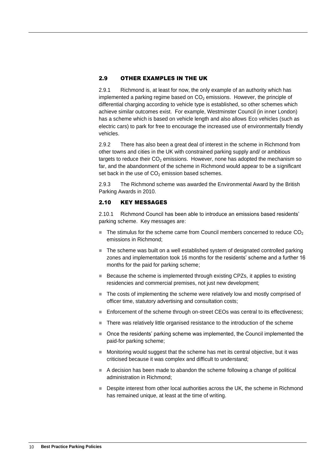## 2.9 OTHER EXAMPLES IN THE UK

2.9.1 Richmond is, at least for now, the only example of an authority which has implemented a parking regime based on  $CO<sub>2</sub>$  emissions. However, the principle of differential charging according to vehicle type is established, so other schemes which achieve similar outcomes exist. For example, Westminster Council (in inner London) has a scheme which is based on vehicle length and also allows Eco vehicles (such as electric cars) to park for free to encourage the increased use of environmentally friendly vehicles.

2.9.2 There has also been a great deal of interest in the scheme in Richmond from other towns and cities in the UK with constrained parking supply and/ or ambitious targets to reduce their  $CO<sub>2</sub>$  emissions. However, none has adopted the mechanism so far, and the abandonment of the scheme in Richmond would appear to be a significant set back in the use of  $CO<sub>2</sub>$  emission based schemes.

2.9.3 The Richmond scheme was awarded the Environmental Award by the British Parking Awards in 2010.

#### 2.10 KEY MESSAGES

2.10.1 Richmond Council has been able to introduce an emissions based residents' parking scheme. Key messages are:

- $\blacksquare$  The stimulus for the scheme came from Council members concerned to reduce CO<sub>2</sub> emissions in Richmond;
- The scheme was built on a well established system of designated controlled parking zones and implementation took 16 months for the residents' scheme and a further 16 months for the paid for parking scheme;
- Because the scheme is implemented through existing CPZs, it applies to existing residencies and commercial premises, not just new development;
- The costs of implementing the scheme were relatively low and mostly comprised of officer time, statutory advertising and consultation costs;
- Enforcement of the scheme through on-street CEOs was central to its effectiveness;
- There was relatively little organised resistance to the introduction of the scheme
- Once the residents' parking scheme was implemented, the Council implemented the paid-for parking scheme;
- $\blacksquare$  Monitoring would suggest that the scheme has met its central objective, but it was criticised because it was complex and difficult to understand;
- A decision has been made to abandon the scheme following a change of political administration in Richmond;
- Despite interest from other local authorities across the UK, the scheme in Richmond has remained unique, at least at the time of writing.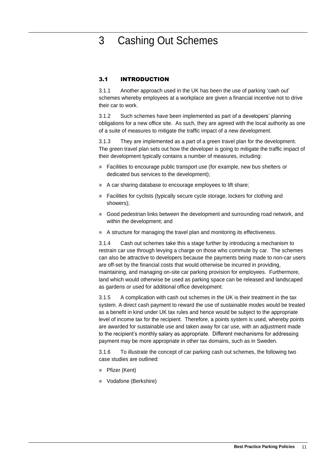## 3 Cashing Out Schemes

## 3.1 INTRODUCTION

3.1.1 Another approach used in the UK has been the use of parking 'cash out' schemes whereby employees at a workplace are given a financial incentive not to drive their car to work.

3.1.2 Such schemes have been implemented as part of a developers' planning obligations for a new office site. As such, they are agreed with the local authority as one of a suite of measures to mitigate the traffic impact of a new development.

3.1.3 They are implemented as a part of a green travel plan for the development. The green travel plan sets out how the developer is going to mitigate the traffic impact of their development typically contains a number of measures, including:

- Facilities to encourage public transport use (for example, new bus shelters or dedicated bus services to the development);
- A car sharing database to encourage employees to lift share;
- Facilities for cyclists (typically secure cycle storage, lockers for clothing and showers);
- Good pedestrian links between the development and surrounding road network, and within the development; and
- $\blacksquare$  A structure for managing the travel plan and monitoring its effectiveness.

3.1.4 Cash out schemes take this a stage further by introducing a mechanism to restrain car use through levying a charge on those who commute by car. The schemes can also be attractive to developers because the payments being made to non-car users are off-set by the financial costs that would otherwise be incurred in providing, maintaining, and managing on-site car parking provision for employees. Furthermore, land which would otherwise be used as parking space can be released and landscaped as gardens or used for additional office development.

3.1.5 A complication with cash out schemes in the UK is their treatment in the tax system. A direct cash payment to reward the use of sustainable modes would be treated as a benefit in kind under UK tax rules and hence would be subject to the appropriate level of income tax for the recipient. Therefore, a points system is used, whereby points are awarded for sustainable use and taken away for car use, with an adjustment made to the recipient's monthly salary as appropriate. Different mechanisms for addressing payment may be more appropriate in other tax domains, such as in Sweden.

3.1.6 To illustrate the concept of car parking cash out schemes, the following two case studies are outlined:

- Pfizer (Kent)
- Vodafone (Berkshire)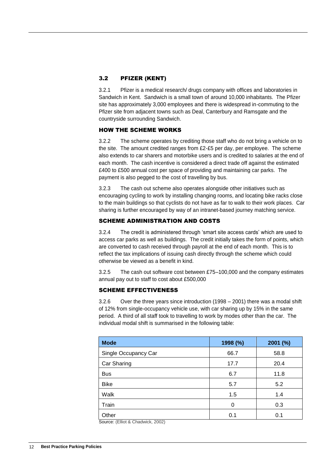## 3.2 PFIZER (KENT)

3.2.1 Pfizer is a medical research/ drugs company with offices and laboratories in Sandwich in Kent. Sandwich is a small town of around 10,000 inhabitants. The Pfizer site has approximately 3,000 employees and there is widespread in-commuting to the Pfizer site from adjacent towns such as Deal, Canterbury and Ramsgate and the countryside surrounding Sandwich.

## HOW THE SCHEME WORKS

3.2.2 The scheme operates by crediting those staff who do not bring a vehicle on to the site. The amount credited ranges from £2-£5 per day, per employee. The scheme also extends to car sharers and motorbike users and is credited to salaries at the end of each month. The cash incentive is considered a direct trade off against the estimated £400 to £500 annual cost per space of providing and maintaining car parks. The payment is also pegged to the cost of travelling by bus.

3.2.3 The cash out scheme also operates alongside other initiatives such as encouraging cycling to work by installing changing rooms, and locating bike racks close to the main buildings so that cyclists do not have as far to walk to their work places. Car sharing is further encouraged by way of an intranet-based journey matching service.

## SCHEME ADMINISTRATION AND COSTS

3.2.4 The credit is administered through 'smart site access cards' which are used to access car parks as well as buildings. The credit initially takes the form of points, which are converted to cash received through payroll at the end of each month. This is to reflect the tax implications of issuing cash directly through the scheme which could otherwise be viewed as a benefit in kind.

3.2.5 The cash out software cost between £75–100,000 and the company estimates annual pay out to staff to cost about £500,000

## SCHEME EFFECTIVENESS

3.2.6 Over the three years since introduction (1998 – 2001) there was a modal shift of 12% from single-occupancy vehicle use, with car sharing up by 15% in the same period. A third of all staff took to travelling to work by modes other than the car. The individual modal shift is summarised in the following table:

| <b>Mode</b>          | 1998 (%) | 2001 (%) |
|----------------------|----------|----------|
| Single Occupancy Car | 66.7     | 58.8     |
| Car Sharing          | 17.7     | 20.4     |
| <b>Bus</b>           | 6.7      | 11.8     |
| <b>Bike</b>          | 5.7      | 5.2      |
| Walk                 | 1.5      | 1.4      |
| Train                | 0        | 0.3      |
| Other                | 0.1      | 0.1      |

Source: (Elliot & Chadwick, 2002)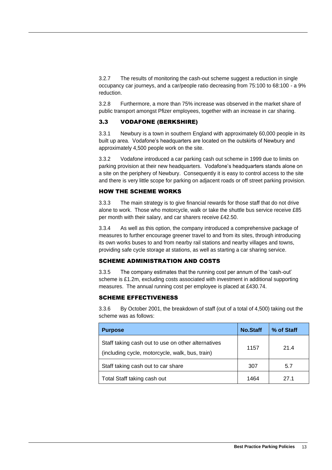3.2.7 The results of monitoring the cash-out scheme suggest a reduction in single occupancy car journeys, and a car/people ratio decreasing from 75:100 to 68:100 - a 9% reduction.

3.2.8 Furthermore, a more than 75% increase was observed in the market share of public transport amongst Pfizer employees, together with an increase in [car](http://www.konsult.leeds.ac.uk/private/level2/instruments/instrument003/l2_003summ.htm) sharing.

## 3.3 VODAFONE (BERKSHIRE)

3.3.1 Newbury is a town in southern England with approximately 60,000 people in its built up area. Vodafone's headquarters are located on the outskirts of Newbury and approximately 4,500 people work on the site.

3.3.2 Vodafone introduced a car parking cash out scheme in 1999 due to limits on parking provision at their new headquarters. Vodafone's headquarters stands alone on a site on the periphery of Newbury. Consequently it is easy to control access to the site and there is very little scope for parking on adjacent roads or off street parking provision.

## HOW THE SCHEME WORKS

3.3.3 The main strategy is to give financial rewards for those staff that do not drive alone to work. Those who motorcycle, walk or take the shuttle bus service receive £85 per month with their salary, and car sharers receive £42.50.

3.3.4 As well as this option, the company introduced a comprehensive package of measures to further encourage greener travel to and from its sites, through introducing its own works buses to and from nearby rail stations and nearby villages and towns, providing safe cycle storage at stations, as well as starting a car sharing service.

## SCHEME ADMINISTRATION AND COSTS

3.3.5 The company estimates that the running cost per annum of the 'cash-out' scheme is £1.2m, excluding costs associated with investment in additional supporting measures. The annual running cost per employee is placed at £430.74.

## SCHEME EFFECTIVENESS

3.3.6 By October 2001, the breakdown of staff (out of a total of 4,500) taking out the scheme was as follows:

| <b>Purpose</b>                                                                                        | <b>No.Staff</b> | % of Staff |
|-------------------------------------------------------------------------------------------------------|-----------------|------------|
| Staff taking cash out to use on other alternatives<br>(including cycle, motorcycle, walk, bus, train) | 1157            | 21.4       |
| Staff taking cash out to car share                                                                    | 307             | 5.7        |
| Total Staff taking cash out                                                                           | 1464            | 27 1       |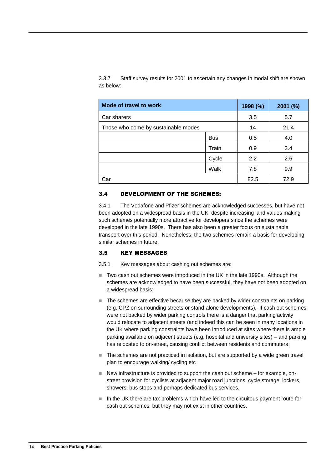3.3.7 Staff survey results for 2001 to ascertain any changes in modal shift are shown as below:

| Mode of travel to work              |            | 1998 (%)      | 2001 (%) |
|-------------------------------------|------------|---------------|----------|
| Car sharers                         |            | 3.5           | 5.7      |
| Those who come by sustainable modes |            | 14            | 21.4     |
|                                     | <b>Bus</b> | 0.5           | 4.0      |
|                                     | Train      | 0.9           | 3.4      |
|                                     | Cycle      | $2.2^{\circ}$ | 2.6      |
|                                     | Walk       | 7.8           | 9.9      |
| Car                                 |            | 82.5          | 72.9     |

## 3.4 DEVELOPMENT OF THE SCHEMES:

3.4.1 The Vodafone and Pfizer schemes are acknowledged successes, but have not been adopted on a widespread basis in the UK, despite increasing land values making such schemes potentially more attractive for developers since the schemes were developed in the late 1990s. There has also been a greater focus on sustainable transport over this period. Nonetheless, the two schemes remain a basis for developing similar schemes in future.

## 3.5 KEY MESSAGES

- 3.5.1 Key messages about cashing out schemes are:
- Two cash out schemes were introduced in the UK in the late 1990s. Although the schemes are acknowledged to have been successful, they have not been adopted on a widespread basis;
- The schemes are effective because they are backed by wider constraints on parking (e.g. CPZ on surrounding streets or stand-alone developments). If cash out schemes were not backed by wider parking controls there is a danger that parking activity would relocate to adjacent streets (and indeed this can be seen in many locations in the UK where parking constraints have been introduced at sites where there is ample parking available on adjacent streets (e.g. hospital and university sites) – and parking has relocated to on-street, causing conflict between residents and commuters;
- The schemes are not practiced in isolation, but are supported by a wide green travel plan to encourage walking/ cycling etc
- New infrastructure is provided to support the cash out scheme for example, onstreet provision for cyclists at adjacent major road junctions, cycle storage, lockers, showers, bus stops and perhaps dedicated bus services.
- $\blacksquare$  In the UK there are tax problems which have led to the circuitous payment route for cash out schemes, but they may not exist in other countries.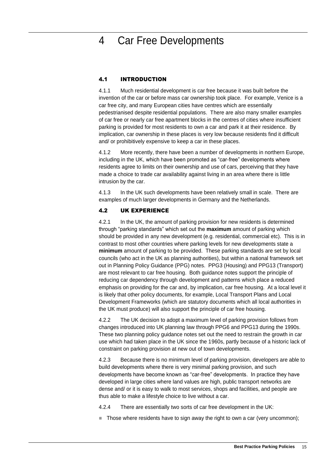## 4 Car Free Developments

## 4.1 INTRODUCTION

4.1.1 Much residential development is car free because it was built before the invention of the car or before mass car ownership took place. For example, Venice is a car free city, and many European cities have centres which are essentially pedestrianised despite residential populations. There are also many smaller examples of car free or nearly car free apartment blocks in the centres of cities where insufficient parking is provided for most residents to own a car and park it at their residence. By implication, car ownership in these places is very low because residents find it difficult and/ or prohibitively expensive to keep a car in these places.

4.1.2 More recently, there have been a number of developments in northern Europe, including in the UK, which have been promoted as "car-free" developments where residents agree to limits on their ownership and use of cars, perceiving that they have made a choice to trade car availability against living in an area where there is little intrusion by the car.

4.1.3 In the UK such developments have been relatively small in scale. There are examples of much larger developments in Germany and the Netherlands.

## 4.2 UK EXPERIENCE

4.2.1 In the UK, the amount of parking provision for new residents is determined through "parking standards" which set out the **maximum** amount of parking which should be provided in any new development (e.g. residential, commercial etc). This is in contrast to most other countries where parking levels for new developments state a **minimum** amount of parking to be provided. These parking standards are set by local councils (who act in the UK as planning authorities), but within a national framework set out in Planning Policy Guidance (PPG) notes. PPG3 (Housing) and PPG13 (Transport) are most relevant to car free housing. Both guidance notes support the principle of reducing car dependency through development and patterns which place a reduced emphasis on providing for the car and, by implication, car free housing. At a local level it is likely that other policy documents, for example, Local Transport Plans and Local Development Frameworks (which are statutory documents which all local authorities in the UK must produce) will also support the principle of car free housing.

4.2.2 The UK decision to adopt a maximum level of parking provision follows from changes introduced into UK planning law through PPG6 and PPG13 during the 1990s. These two planning policy guidance notes set out the need to restrain the growth in car use which had taken place in the UK since the 1960s, partly because of a historic lack of constraint on parking provision at new out of town developments.

4.2.3 Because there is no minimum level of parking provision, developers are able to build developments where there is very minimal parking provision, and such developments have become known as "car-free" developments. In practice they have developed in large cities where land values are high, public transport networks are dense and/ or it is easy to walk to most services, shops and facilities, and people are thus able to make a lifestyle choice to live without a car.

4.2.4 There are essentially two sorts of car free development in the UK:

 $\blacksquare$  Those where residents have to sign away the right to own a car (very uncommon);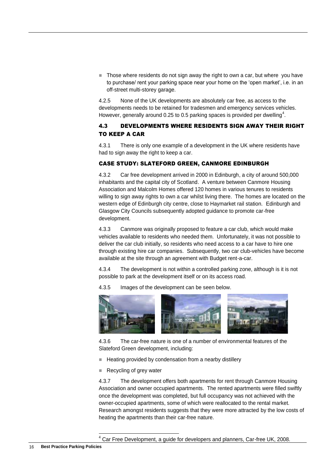■ Those where residents do not sign away the right to own a car, but where you have to purchase/ rent your parking space near your home on the 'open market', i.e. in an off-street multi-storey garage.

4.2.5 None of the UK developments are absolutely car free, as access to the developments needs to be retained for tradesmen and emergency services vehicles. However, generally around 0.25 to 0.5 parking spaces is provided per dwelling<sup>4</sup>.

## 4.3 DEVELOPMENTS WHERE RESIDENTS SIGN AWAY THEIR RIGHT TO KEEP A CAR

4.3.1 There is only one example of a development in the UK where residents have had to sign away the right to keep a car.

## CASE STUDY: SLATEFORD GREEN, CANMORE EDINBURGH

4.3.2 Car free development arrived in 2000 in Edinburgh, a city of around 500,000 inhabitants and the capital city of Scotland. A venture between Canmore Housing Association and Malcolm Homes offered 120 homes in various tenures to residents willing to sign away rights to own a car whilst living there. The homes are located on the western edge of Edinburgh city centre, close to Haymarket rail station. Edinburgh and Glasgow City Councils subsequently adopted guidance to promote car-free development.

4.3.3 Canmore was originally proposed to feature a car club, which would make vehicles available to residents who needed them. Unfortunately, it was not possible to deliver the car club initially, so residents who need access to a car have to hire one through existing hire car companies. Subsequently, two car club-vehicles have become available at the site through an agreement with Budget rent-a-car.

4.3.4 The development is not within a controlled parking zone, although is it is not possible to park at the development itself or on its access road.

4.3.5 Images of the development can be seen below.



4.3.6 The car-free nature is one of a number of environmental features of the Slateford Green development, including:

- $\blacksquare$  Heating provided by condensation from a nearby distillery
- $\blacksquare$  Recycling of grey water

4.3.7 The development offers both apartments for rent through Canmore Housing Association and owner occupied apartments. The rented apartments were filled swiftly once the development was completed, but full occupancy was not achieved with the owner-occupied apartments, some of which were reallocated to the rental market. Research amongst residents suggests that they were more attracted by the low costs of heating the apartments than their car-free nature.

 $\overline{a}$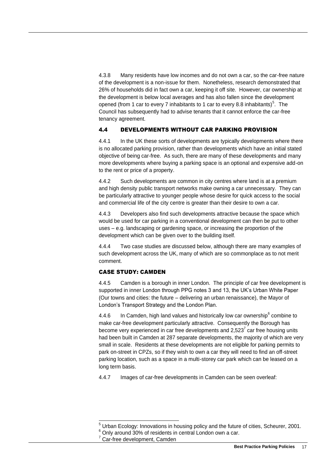4.3.8 Many residents have low incomes and do not own a car, so the car-free nature of the development is a non-issue for them. Nonetheless, research demonstrated that 26% of households did in fact own a car, keeping it off site. However, car ownership at the development is below local averages and has also fallen since the development opened (from 1 car to every 7 inhabitants to 1 car to every 8.8 inhabitants)<sup>5</sup>. The Council has subsequently had to advise tenants that it cannot enforce the car-free tenancy agreement.

## 4.4 DEVELOPMENTS WITHOUT CAR PARKING PROVISION

4.4.1 In the UK these sorts of developments are typically developments where there is no allocated parking provision, rather than developments which have an initial stated objective of being car-free. As such, there are many of these developments and many more developments where buying a parking space is an optional and expensive add-on to the rent or price of a property.

4.4.2 Such developments are common in city centres where land is at a premium and high density public transport networks make owning a car unnecessary. They can be particularly attractive to younger people whose desire for quick access to the social and commercial life of the city centre is greater than their desire to own a car.

4.4.3 Developers also find such developments attractive because the space which would be used for car parking in a conventional development can then be put to other uses – e.g. landscaping or gardening space, or increasing the proportion of the development which can be given over to the building itself.

4.4.4 Two case studies are discussed below, although there are many examples of such development across the UK, many of which are so commonplace as to not merit comment.

#### CASE STUDY: CAMDEN

4.4.5 Camden is a borough in inner London. The principle of car free development is supported in inner London through PPG notes 3 and 13, the UK's Urban White Paper (Our towns and cities: the future – delivering an urban renaissance), the Mayor of London's Transport Strategy and the London Plan.

4.4.6 In Camden, high land values and historically low car ownership $^6$  combine to make car-free development particularly attractive. Consequently the Borough has become very experienced in car free developments and 2,523<sup>7</sup> car free housing units had been built in Camden at 287 separate developments, the majority of which are very small in scale. Residents at these developments are not eligible for parking permits to park on-street in CPZs, so if they wish to own a car they will need to find an off-street parking location, such as a space in a multi-storey car park which can be leased on a long term basis.

4.4.7 Images of car-free developments in Camden can be seen overleaf:

 $\overline{a}$ 

 $<sup>5</sup>$  Urban Ecology: Innovations in housing policy and the future of cities, Scheurer, 2001.</sup>

<sup>6</sup> Only around 30% of residents in central London own a car.

<sup>&</sup>lt;sup>7</sup> Car-free development, Camden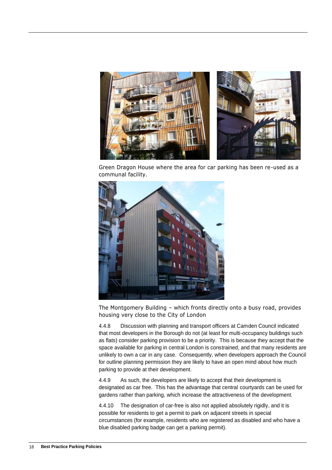

Green Dragon House where the area for car parking has been re-used as a communal facility.



The Montgomery Building – which fronts directly onto a busy road, provides housing very close to the City of London

4.4.8 Discussion with planning and transport officers at Camden Council indicated that most developers in the Borough do not (at least for multi-occupancy buildings such as flats) consider parking provision to be a priority. This is because they accept that the space available for parking in central London is constrained, and that many residents are unlikely to own a car in any case. Consequently, when developers approach the Council for outline planning permission they are likely to have an open mind about how much parking to provide at their development.

4.4.9 As such, the developers are likely to accept that their development is designated as car free. This has the advantage that central courtyards can be used for gardens rather than parking, which increase the attractiveness of the development.

4.4.10 The designation of car-free is also not applied absolutely rigidly, and it is possible for residents to get a permit to park on adjacent streets in special circumstances (for example, residents who are registered as disabled and who have a blue disabled parking badge can get a parking permit).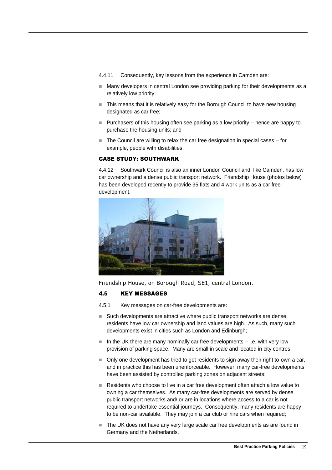- 4.4.11 Consequently, key lessons from the experience in Camden are:
- Many developers in central London see providing parking for their developments as a relatively low priority;
- This means that it is relatively easy for the Borough Council to have new housing designated as car free;
- **Purchasers of this housing often see parking as a low priority hence are happy to** purchase the housing units; and
- $\blacksquare$  The Council are willing to relax the car free designation in special cases  $-$  for example, people with disabilities.

## CASE STUDY: SOUTHWARK

4.4.12 Southwark Council is also an inner London Council and, like Camden, has low car ownership and a dense public transport network. Friendship House (photos below) has been developed recently to provide 35 flats and 4 work units as a car free development.



Friendship House, on Borough Road, SE1, central London.

## 4.5 KEY MESSAGES

4.5.1 Key messages on car-free developments are:

- Such developments are attractive where public transport networks are dense, residents have low car ownership and land values are high. As such, many such developments exist in cities such as London and Edinburgh;
- In the UK there are many nominally car free developments  $-$  i.e. with very low provision of parking space. Many are small in scale and located in city centres;
- $\blacksquare$  Only one development has tried to get residents to sign away their right to own a car, and in practice this has been unenforceable. However, many car-free developments have been assisted by controlled parking zones on adjacent streets;
- Residents who choose to live in a car free development often attach a low value to owning a car themselves. As many car-free developments are served by dense public transport networks and/ or are in locations where access to a car is not required to undertake essential journeys. Consequently, many residents are happy to be non-car available. They may join a car club or hire cars when required;
- The UK does not have any very large scale car free developments as are found in Germany and the Netherlands.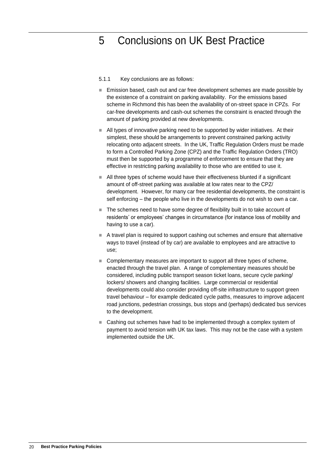## 5 Conclusions on UK Best Practice

#### 5.1.1 Key conclusions are as follows:

- Emission based, cash out and car free development schemes are made possible by the existence of a constraint on parking availability. For the emissions based scheme in Richmond this has been the availability of on-street space in CPZs. For car-free developments and cash-out schemes the constraint is enacted through the amount of parking provided at new developments.
- All types of innovative parking need to be supported by wider initiatives. At their simplest, these should be arrangements to prevent constrained parking activity relocating onto adjacent streets. In the UK, Traffic Regulation Orders must be made to form a Controlled Parking Zone (CPZ) and the Traffic Regulation Orders (TRO) must then be supported by a programme of enforcement to ensure that they are effective in restricting parking availability to those who are entitled to use it.
- All three types of scheme would have their effectiveness blunted if a significant amount of off-street parking was available at low rates near to the CPZ/ development. However, for many car free residential developments, the constraint is self enforcing – the people who live in the developments do not wish to own a car.
- The schemes need to have some degree of flexibility built in to take account of residents' or employees' changes in circumstance (for instance loss of mobility and having to use a car).
- $\blacksquare$  A travel plan is required to support cashing out schemes and ensure that alternative ways to travel (instead of by car) are available to employees and are attractive to use;
- Complementary measures are important to support all three types of scheme, enacted through the travel plan. A range of complementary measures should be considered, including public transport season ticket loans, secure cycle parking/ lockers/ showers and changing facilities. Large commercial or residential developments could also consider providing off-site infrastructure to support green travel behaviour – for example dedicated cycle paths, measures to improve adjacent road junctions, pedestrian crossings, bus stops and (perhaps) dedicated bus services to the development.
- Cashing out schemes have had to be implemented through a complex system of payment to avoid tension with UK tax laws. This may not be the case with a system implemented outside the UK.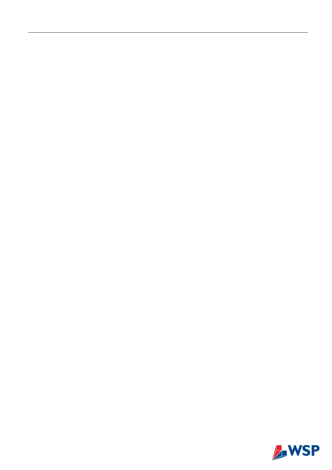